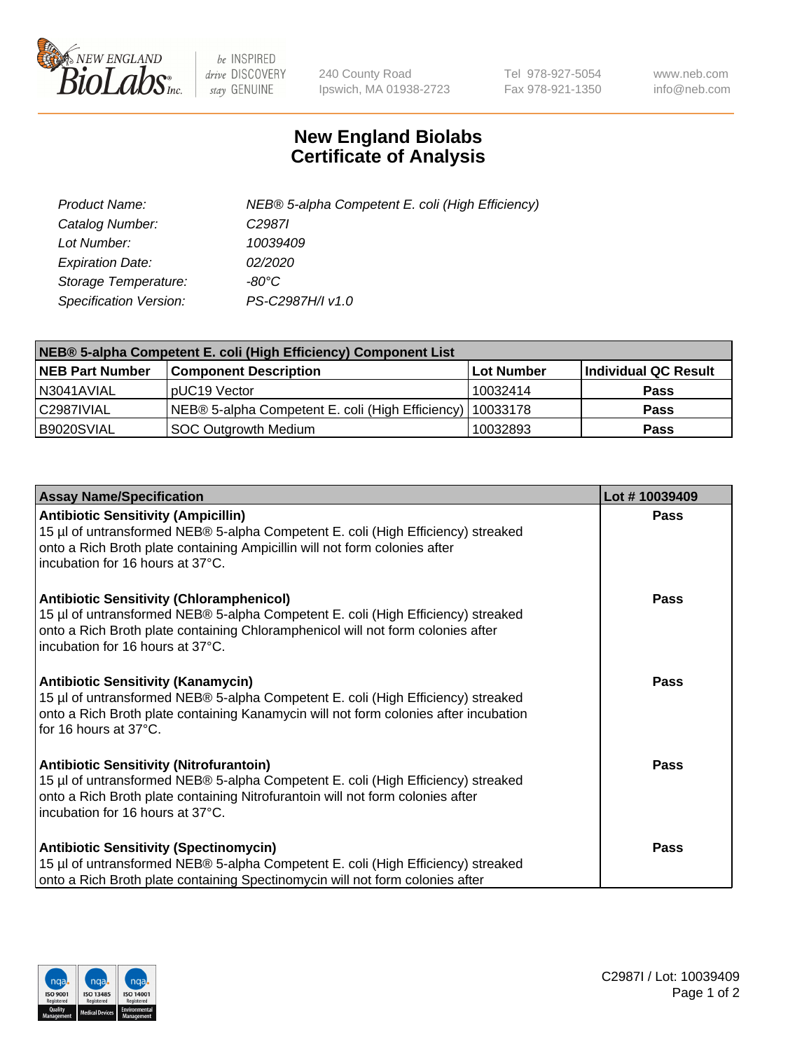

 $be$  INSPIRED drive DISCOVERY stay GENUINE

240 County Road Ipswich, MA 01938-2723 Tel 978-927-5054 Fax 978-921-1350 www.neb.com info@neb.com

## **New England Biolabs Certificate of Analysis**

| Product Name:           | NEB® 5-alpha Competent E. coli (High Efficiency) |
|-------------------------|--------------------------------------------------|
| Catalog Number:         | C <sub>2987</sub>                                |
| Lot Number:             | 10039409                                         |
| <b>Expiration Date:</b> | 02/2020                                          |
| Storage Temperature:    | -80°C                                            |
| Specification Version:  | PS-C2987H/I v1.0                                 |

| NEB® 5-alpha Competent E. coli (High Efficiency) Component List |                                                  |            |                      |  |
|-----------------------------------------------------------------|--------------------------------------------------|------------|----------------------|--|
| <b>NEB Part Number</b>                                          | <b>Component Description</b>                     | Lot Number | Individual QC Result |  |
| N3041AVIAL                                                      | pUC19 Vector                                     | 10032414   | <b>Pass</b>          |  |
| C2987IVIAL                                                      | NEB® 5-alpha Competent E. coli (High Efficiency) | 10033178   | <b>Pass</b>          |  |
| B9020SVIAL                                                      | SOC Outgrowth Medium                             | 10032893   | <b>Pass</b>          |  |

| <b>Assay Name/Specification</b>                                                                                                                                                                                                                            | Lot #10039409 |
|------------------------------------------------------------------------------------------------------------------------------------------------------------------------------------------------------------------------------------------------------------|---------------|
| <b>Antibiotic Sensitivity (Ampicillin)</b><br>15 µl of untransformed NEB® 5-alpha Competent E. coli (High Efficiency) streaked<br>onto a Rich Broth plate containing Ampicillin will not form colonies after<br>incubation for 16 hours at 37°C.           | Pass          |
| <b>Antibiotic Sensitivity (Chloramphenicol)</b><br>15 µl of untransformed NEB® 5-alpha Competent E. coli (High Efficiency) streaked<br>onto a Rich Broth plate containing Chloramphenicol will not form colonies after<br>incubation for 16 hours at 37°C. | Pass          |
| Antibiotic Sensitivity (Kanamycin)<br>15 µl of untransformed NEB® 5-alpha Competent E. coli (High Efficiency) streaked<br>onto a Rich Broth plate containing Kanamycin will not form colonies after incubation<br>for 16 hours at 37°C.                    | Pass          |
| <b>Antibiotic Sensitivity (Nitrofurantoin)</b><br>15 µl of untransformed NEB® 5-alpha Competent E. coli (High Efficiency) streaked<br>onto a Rich Broth plate containing Nitrofurantoin will not form colonies after<br>incubation for 16 hours at 37°C.   | <b>Pass</b>   |
| <b>Antibiotic Sensitivity (Spectinomycin)</b><br>15 µl of untransformed NEB® 5-alpha Competent E. coli (High Efficiency) streaked<br>onto a Rich Broth plate containing Spectinomycin will not form colonies after                                         | Pass          |